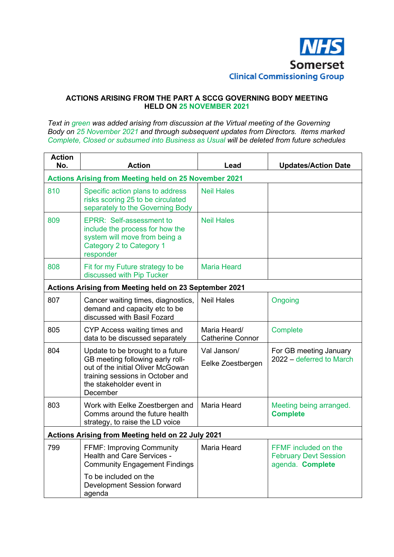

## **ACTIONS ARISING FROM THE PART A SCCG GOVERNING BODY MEETING HELD ON 25 NOVEMBER 2021**

*Text in green was added arising from discussion at the Virtual meeting of the Governing Body on 25 November 2021 and through subsequent updates from Directors. Items marked Complete, Closed or subsumed into Business as Usual will be deleted from future schedules* 

| <b>Action</b><br>No.                                         | <b>Action</b>                                                                                                                                                                         | Lead                                    | <b>Updates/Action Date</b>                                               |  |
|--------------------------------------------------------------|---------------------------------------------------------------------------------------------------------------------------------------------------------------------------------------|-----------------------------------------|--------------------------------------------------------------------------|--|
| <b>Actions Arising from Meeting held on 25 November 2021</b> |                                                                                                                                                                                       |                                         |                                                                          |  |
| 810                                                          | Specific action plans to address<br>risks scoring 25 to be circulated<br>separately to the Governing Body                                                                             | <b>Neil Hales</b>                       |                                                                          |  |
| 809                                                          | EPRR: Self-assessment to<br>include the process for how the<br>system will move from being a<br>Category 2 to Category 1<br>responder                                                 | <b>Neil Hales</b>                       |                                                                          |  |
| 808                                                          | Fit for my Future strategy to be<br>discussed with Pip Tucker                                                                                                                         | <b>Maria Heard</b>                      |                                                                          |  |
| Actions Arising from Meeting held on 23 September 2021       |                                                                                                                                                                                       |                                         |                                                                          |  |
| 807                                                          | Cancer waiting times, diagnostics,<br>demand and capacity etc to be<br>discussed with Basil Fozard                                                                                    | <b>Neil Hales</b>                       | Ongoing                                                                  |  |
| 805                                                          | CYP Access waiting times and<br>data to be discussed separately                                                                                                                       | Maria Heard/<br><b>Catherine Connor</b> | Complete                                                                 |  |
| 804                                                          | Update to be brought to a future<br>GB meeting following early roll-<br>out of the initial Oliver McGowan<br>training sessions in October and<br>the stakeholder event in<br>December | Val Janson/<br>Eelke Zoestbergen        | For GB meeting January<br>2022 – deferred to March                       |  |
| 803                                                          | Work with Eelke Zoestbergen and<br>Comms around the future health<br>strategy, to raise the LD voice                                                                                  | <b>Maria Heard</b>                      | Meeting being arranged.<br><b>Complete</b>                               |  |
| Actions Arising from Meeting held on 22 July 2021            |                                                                                                                                                                                       |                                         |                                                                          |  |
| 799                                                          | <b>FFMF: Improving Community</b><br><b>Health and Care Services -</b><br><b>Community Engagement Findings</b>                                                                         | <b>Maria Heard</b>                      | FFMF included on the<br><b>February Devt Session</b><br>agenda. Complete |  |
|                                                              | To be included on the<br>Development Session forward<br>agenda                                                                                                                        |                                         |                                                                          |  |